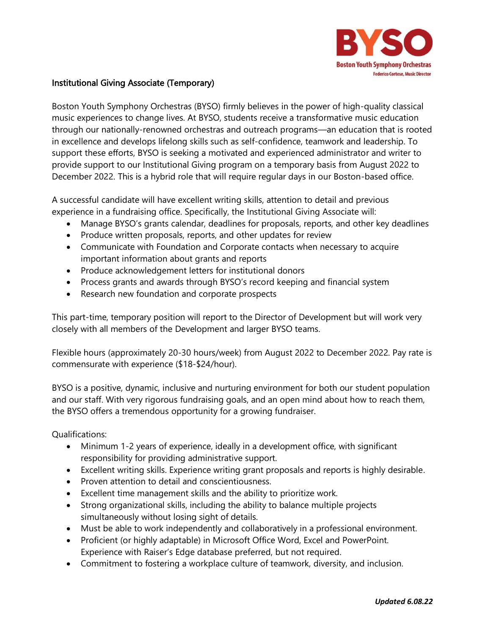

## Institutional Giving Associate (Temporary)

Boston Youth Symphony Orchestras (BYSO) firmly believes in the power of high-quality classical music experiences to change lives. At BYSO, students receive a transformative music education through our nationally-renowned orchestras and outreach programs—an education that is rooted in excellence and develops lifelong skills such as self-confidence, teamwork and leadership. To support these efforts, BYSO is seeking a motivated and experienced administrator and writer to provide support to our Institutional Giving program on a temporary basis from August 2022 to December 2022. This is a hybrid role that will require regular days in our Boston-based office.

A successful candidate will have excellent writing skills, attention to detail and previous experience in a fundraising office. Specifically, the Institutional Giving Associate will:

- Manage BYSO's grants calendar, deadlines for proposals, reports, and other key deadlines
- Produce written proposals, reports, and other updates for review
- Communicate with Foundation and Corporate contacts when necessary to acquire important information about grants and reports
- Produce acknowledgement letters for institutional donors
- Process grants and awards through BYSO's record keeping and financial system
- Research new foundation and corporate prospects

This part-time, temporary position will report to the Director of Development but will work very closely with all members of the Development and larger BYSO teams.

Flexible hours (approximately 20-30 hours/week) from August 2022 to December 2022. Pay rate is commensurate with experience (\$18-\$24/hour).

BYSO is a positive, dynamic, inclusive and nurturing environment for both our student population and our staff. With very rigorous fundraising goals, and an open mind about how to reach them, the BYSO offers a tremendous opportunity for a growing fundraiser.

Qualifications:

- Minimum 1-2 years of experience, ideally in a development office, with significant responsibility for providing administrative support.
- Excellent writing skills. Experience writing grant proposals and reports is highly desirable.
- Proven attention to detail and conscientiousness.
- Excellent time management skills and the ability to prioritize work.
- Strong organizational skills, including the ability to balance multiple projects simultaneously without losing sight of details.
- Must be able to work independently and collaboratively in a professional environment.
- Proficient (or highly adaptable) in Microsoft Office Word, Excel and PowerPoint. Experience with Raiser's Edge database preferred, but not required.
- Commitment to fostering a workplace culture of teamwork, diversity, and inclusion.